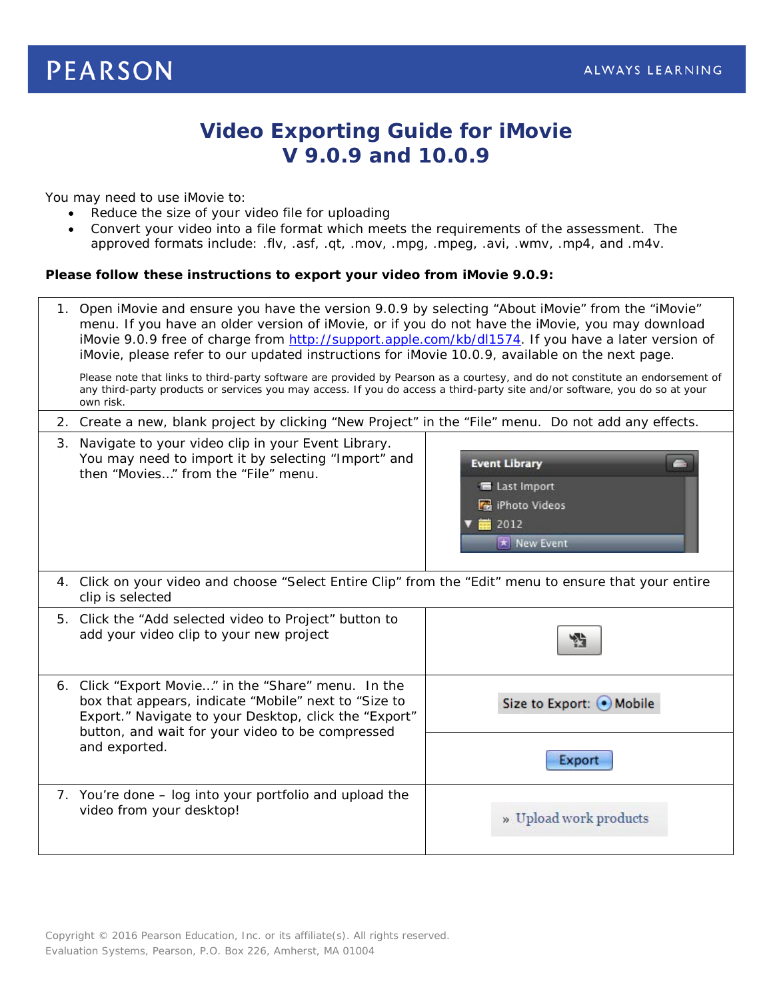# **PEARSON**

# **Video Exporting Guide for iMovie V 9.0.9 and 10.0.9**

You may need to use iMovie to:

- Reduce the size of your video file for uploading
- Convert your video into a file format which meets the requirements of the assessment. The approved formats include: .flv, .asf, .qt, .mov, .mpg, .mpeg, .avi, .wmv, .mp4, and .m4v.

## **Please follow these instructions to export your video from iMovie 9.0.9:**

| 1. Open iMovie and ensure you have the version 9.0.9 by selecting "About iMovie" from the "iMovie"<br>menu. If you have an older version of iMovie, or if you do not have the iMovie, you may download<br>iMovie 9.0.9 free of charge from http://support.apple.com/kb/dl1574. If you have a later version of<br>iMovie, please refer to our updated instructions for iMovie 10.0.9, available on the next page.<br>Please note that links to third-party software are provided by Pearson as a courtesy, and do not constitute an endorsement of<br>any third-party products or services you may access. If you do access a third-party site and/or software, you do so at your |                                                                                        |  |
|----------------------------------------------------------------------------------------------------------------------------------------------------------------------------------------------------------------------------------------------------------------------------------------------------------------------------------------------------------------------------------------------------------------------------------------------------------------------------------------------------------------------------------------------------------------------------------------------------------------------------------------------------------------------------------|----------------------------------------------------------------------------------------|--|
| own risk.                                                                                                                                                                                                                                                                                                                                                                                                                                                                                                                                                                                                                                                                        |                                                                                        |  |
| 2. Create a new, blank project by clicking "New Project" in the "File" menu. Do not add any effects.                                                                                                                                                                                                                                                                                                                                                                                                                                                                                                                                                                             |                                                                                        |  |
| 3. Navigate to your video clip in your Event Library.<br>You may need to import it by selecting "Import" and<br>then "Movies" from the "File" menu.                                                                                                                                                                                                                                                                                                                                                                                                                                                                                                                              | <b>Event Library</b><br>E Last Import<br><b>R</b> iPhoto Videos<br>首 2012<br>New Event |  |
| 4. Click on your video and choose "Select Entire Clip" from the "Edit" menu to ensure that your entire<br>clip is selected                                                                                                                                                                                                                                                                                                                                                                                                                                                                                                                                                       |                                                                                        |  |
| 5. Click the "Add selected video to Project" button to<br>add your video clip to your new project                                                                                                                                                                                                                                                                                                                                                                                                                                                                                                                                                                                |                                                                                        |  |
| 6. Click "Export Movie" in the "Share" menu. In the<br>box that appears, indicate "Mobile" next to "Size to<br>Export." Navigate to your Desktop, click the "Export"<br>button, and wait for your video to be compressed<br>and exported.                                                                                                                                                                                                                                                                                                                                                                                                                                        | Size to Export: O Mobile<br>Export                                                     |  |
| 7. You're done - log into your portfolio and upload the<br>video from your desktop!                                                                                                                                                                                                                                                                                                                                                                                                                                                                                                                                                                                              | » Upload work products                                                                 |  |